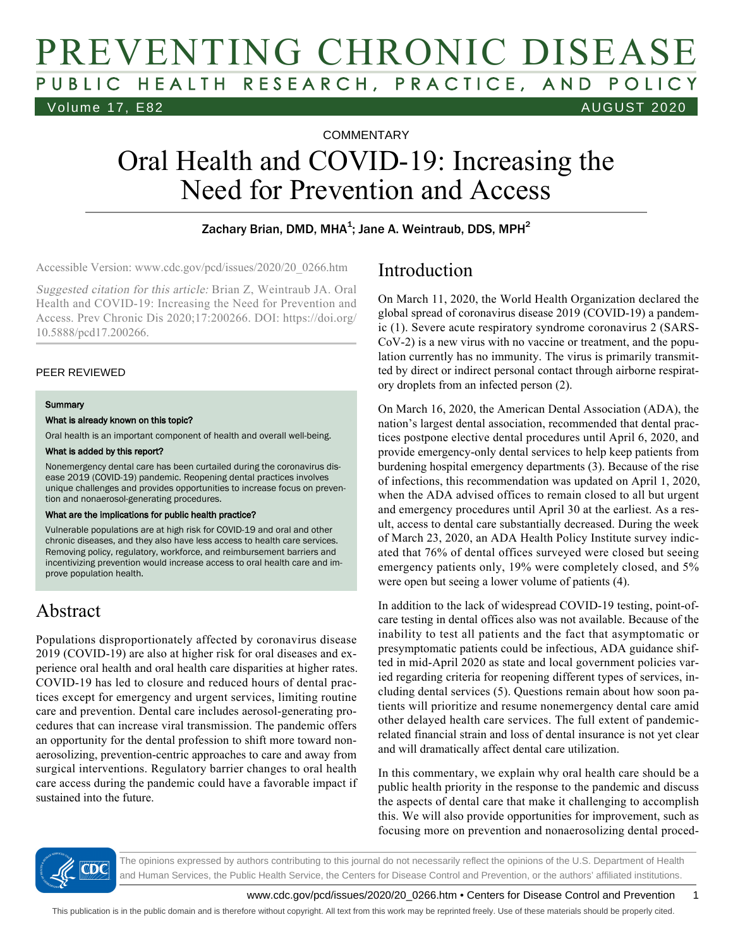# PREVENTING CHRONIC DISEASE PUBLIC HEALTH RESEARCH, PRACTICE, AND POLICY Volume 17, E82 AUGUST 2020

**COMMENTARY** 

# Oral Health and COVID-19: Increasing the Need for Prevention and Access

### Zachary Brian, DMD, MHA<sup>1</sup>; Jane A. Weintraub, DDS, MPH<sup>2</sup>

Accessible Version: www.cdc.gov/pcd/issues/2020/20\_0266.htm

Suggested citation for this article: Brian Z, Weintraub JA. Oral Health and COVID-19: Increasing the Need for Prevention and Access. Prev Chronic Dis 2020;17:200266. DOI: https://doi.org/ 10.5888/pcd17.200266.

### PEER REVIEWED

#### **Summary**

#### What is already known on this topic?

Oral health is an important component of health and overall well-being.

#### What is added by this report?

Nonemergency dental care has been curtailed during the coronavirus disease 2019 (COVID-19) pandemic. Reopening dental practices involves unique challenges and provides opportunities to increase focus on prevention and nonaerosol-generating procedures.

#### What are the implications for public health practice?

Vulnerable populations are at high risk for COVID-19 and oral and other chronic diseases, and they also have less access to health care services. Removing policy, regulatory, workforce, and reimbursement barriers and incentivizing prevention would increase access to oral health care and improve population health.

### Abstract

Populations disproportionately affected by coronavirus disease 2019 (COVID-19) are also at higher risk for oral diseases and experience oral health and oral health care disparities at higher rates. COVID-19 has led to closure and reduced hours of dental practices except for emergency and urgent services, limiting routine care and prevention. Dental care includes aerosol-generating procedures that can increase viral transmission. The pandemic offers an opportunity for the dental profession to shift more toward nonaerosolizing, prevention-centric approaches to care and away from surgical interventions. Regulatory barrier changes to oral health care access during the pandemic could have a favorable impact if sustained into the future.

### Introduction

On March 11, 2020, the World Health Organization declared the global spread of coronavirus disease 2019 (COVID-19) a pandemic (1). Severe acute respiratory syndrome coronavirus 2 (SARS-CoV-2) is a new virus with no vaccine or treatment, and the population currently has no immunity. The virus is primarily transmitted by direct or indirect personal contact through airborne respiratory droplets from an infected person (2).

On March 16, 2020, the American Dental Association (ADA), the nation's largest dental association, recommended that dental practices postpone elective dental procedures until April 6, 2020, and provide emergency-only dental services to help keep patients from burdening hospital emergency departments (3). Because of the rise of infections, this recommendation was updated on April 1, 2020, when the ADA advised offices to remain closed to all but urgent and emergency procedures until April 30 at the earliest. As a result, access to dental care substantially decreased. During the week of March 23, 2020, an ADA Health Policy Institute survey indicated that 76% of dental offices surveyed were closed but seeing emergency patients only, 19% were completely closed, and 5% were open but seeing a lower volume of patients (4).

In addition to the lack of widespread COVID-19 testing, point-ofcare testing in dental offices also was not available. Because of the inability to test all patients and the fact that asymptomatic or presymptomatic patients could be infectious, ADA guidance shifted in mid-April 2020 as state and local government policies varied regarding criteria for reopening different types of services, including dental services (5). Questions remain about how soon patients will prioritize and resume nonemergency dental care amid other delayed health care services. The full extent of pandemicrelated financial strain and loss of dental insurance is not yet clear and will dramatically affect dental care utilization.

In this commentary, we explain why oral health care should be a public health priority in the response to the pandemic and discuss the aspects of dental care that make it challenging to accomplish this. We will also provide opportunities for improvement, such as focusing more on prevention and nonaerosolizing dental proced-



The opinions expressed by authors contributing to this journal do not necessarily reflect the opinions of the U.S. Department of Health and Human Services, the Public Health Service, the Centers for Disease Control and Prevention, or the authors' affiliated institutions.

www.cdc.gov/pcd/issues/2020/20\_0266.htm • Centers for Disease Control and Prevention 1

This publication is in the public domain and is therefore without copyright. All text from this work may be reprinted freely. Use of these materials should be properly cited.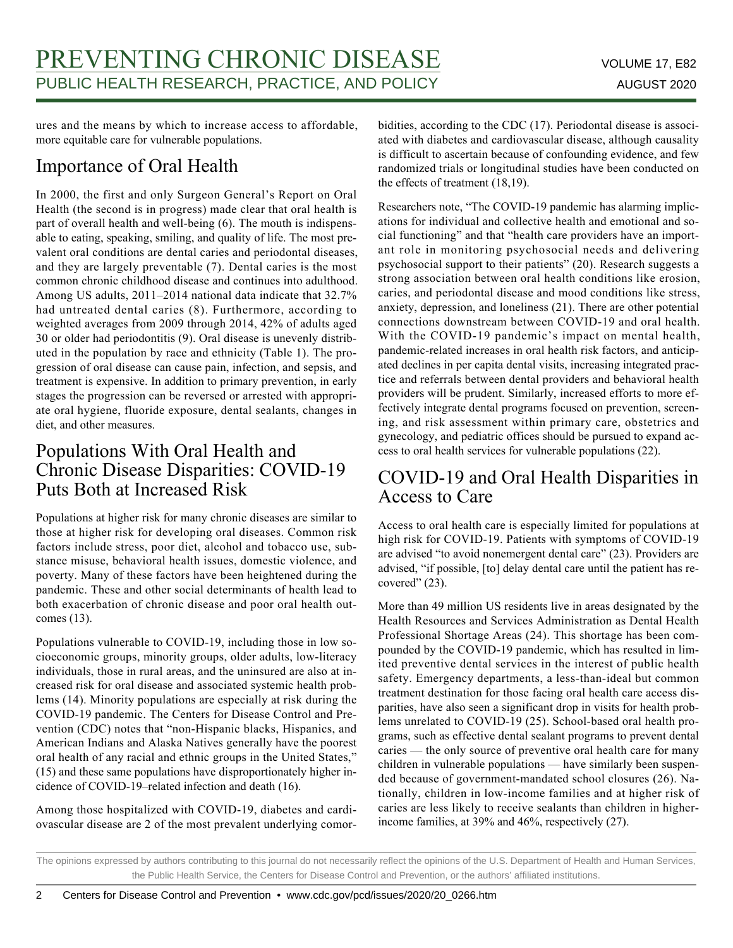ures and the means by which to increase access to affordable, more equitable care for vulnerable populations.

# Importance of Oral Health

In 2000, the first and only Surgeon General's Report on Oral Health (the second is in progress) made clear that oral health is part of overall health and well-being (6). The mouth is indispensable to eating, speaking, smiling, and quality of life. The most prevalent oral conditions are dental caries and periodontal diseases, and they are largely preventable (7). Dental caries is the most common chronic childhood disease and continues into adulthood. Among US adults, 2011–2014 national data indicate that 32.7% had untreated dental caries (8). Furthermore, according to weighted averages from 2009 through 2014, 42% of adults aged 30 or older had periodontitis (9). Oral disease is unevenly distributed in the population by race and ethnicity (Table 1). The progression of oral disease can cause pain, infection, and sepsis, and treatment is expensive. In addition to primary prevention, in early stages the progression can be reversed or arrested with appropriate oral hygiene, fluoride exposure, dental sealants, changes in diet, and other measures.

### Populations With Oral Health and Chronic Disease Disparities: COVID-19 Puts Both at Increased Risk

Populations at higher risk for many chronic diseases are similar to those at higher risk for developing oral diseases. Common risk factors include stress, poor diet, alcohol and tobacco use, substance misuse, behavioral health issues, domestic violence, and poverty. Many of these factors have been heightened during the pandemic. These and other social determinants of health lead to both exacerbation of chronic disease and poor oral health outcomes (13).

Populations vulnerable to COVID-19, including those in low socioeconomic groups, minority groups, older adults, low-literacy individuals, those in rural areas, and the uninsured are also at increased risk for oral disease and associated systemic health problems (14). Minority populations are especially at risk during the COVID-19 pandemic. The Centers for Disease Control and Prevention (CDC) notes that "non-Hispanic blacks, Hispanics, and American Indians and Alaska Natives generally have the poorest oral health of any racial and ethnic groups in the United States," (15) and these same populations have disproportionately higher incidence of COVID-19–related infection and death (16).

Among those hospitalized with COVID-19, diabetes and cardiovascular disease are 2 of the most prevalent underlying comorbidities, according to the CDC (17). Periodontal disease is associated with diabetes and cardiovascular disease, although causality is difficult to ascertain because of confounding evidence, and few randomized trials or longitudinal studies have been conducted on the effects of treatment (18,19).

Researchers note, "The COVID-19 pandemic has alarming implications for individual and collective health and emotional and social functioning" and that "health care providers have an important role in monitoring psychosocial needs and delivering psychosocial support to their patients" (20). Research suggests a strong association between oral health conditions like erosion, caries, and periodontal disease and mood conditions like stress, anxiety, depression, and loneliness (21). There are other potential connections downstream between COVID-19 and oral health. With the COVID-19 pandemic's impact on mental health, pandemic-related increases in oral health risk factors, and anticipated declines in per capita dental visits, increasing integrated practice and referrals between dental providers and behavioral health providers will be prudent. Similarly, increased efforts to more effectively integrate dental programs focused on prevention, screening, and risk assessment within primary care, obstetrics and gynecology, and pediatric offices should be pursued to expand access to oral health services for vulnerable populations (22).

### COVID-19 and Oral Health Disparities in Access to Care

Access to oral health care is especially limited for populations at high risk for COVID-19. Patients with symptoms of COVID-19 are advised "to avoid nonemergent dental care" (23). Providers are advised, "if possible, [to] delay dental care until the patient has recovered" (23).

More than 49 million US residents live in areas designated by the Health Resources and Services Administration as Dental Health Professional Shortage Areas (24). This shortage has been compounded by the COVID-19 pandemic, which has resulted in limited preventive dental services in the interest of public health safety. Emergency departments, a less-than-ideal but common treatment destination for those facing oral health care access disparities, have also seen a significant drop in visits for health problems unrelated to COVID-19 (25). School-based oral health programs, such as effective dental sealant programs to prevent dental caries — the only source of preventive oral health care for many children in vulnerable populations — have similarly been suspended because of government-mandated school closures (26). Nationally, children in low-income families and at higher risk of caries are less likely to receive sealants than children in higherincome families, at 39% and 46%, respectively (27).

The opinions expressed by authors contributing to this journal do not necessarily reflect the opinions of the U.S. Department of Health and Human Services, the Public Health Service, the Centers for Disease Control and Prevention, or the authors' affiliated institutions.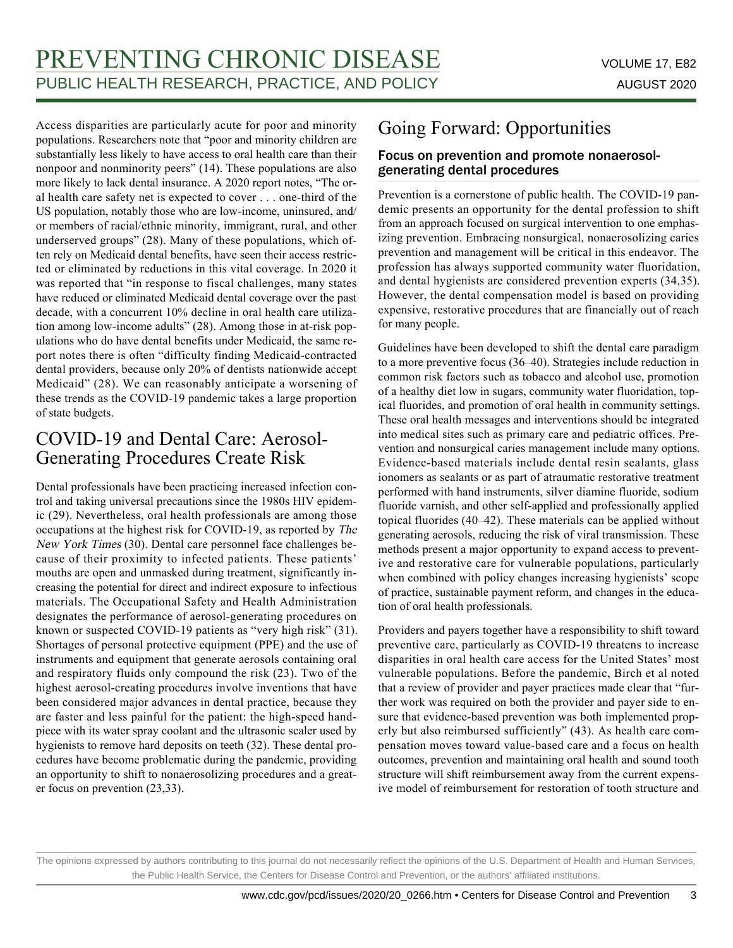Access disparities are particularly acute for poor and minority populations. Researchers note that "poor and minority children are substantially less likely to have access to oral health care than their nonpoor and nonminority peers" (14). These populations are also more likely to lack dental insurance. A 2020 report notes, "The oral health care safety net is expected to cover . . . one-third of the US population, notably those who are low-income, uninsured, and/ or members of racial/ethnic minority, immigrant, rural, and other underserved groups" (28). Many of these populations, which often rely on Medicaid dental benefits, have seen their access restricted or eliminated by reductions in this vital coverage. In 2020 it was reported that "in response to fiscal challenges, many states have reduced or eliminated Medicaid dental coverage over the past decade, with a concurrent 10% decline in oral health care utilization among low-income adults" (28). Among those in at-risk populations who do have dental benefits under Medicaid, the same report notes there is often "difficulty finding Medicaid-contracted dental providers, because only 20% of dentists nationwide accept Medicaid" (28). We can reasonably anticipate a worsening of these trends as the COVID-19 pandemic takes a large proportion of state budgets.

### COVID-19 and Dental Care: Aerosol-Generating Procedures Create Risk

Dental professionals have been practicing increased infection control and taking universal precautions since the 1980s HIV epidemic (29). Nevertheless, oral health professionals are among those occupations at the highest risk for COVID-19, as reported by The New York Times (30). Dental care personnel face challenges because of their proximity to infected patients. These patients' mouths are open and unmasked during treatment, significantly increasing the potential for direct and indirect exposure to infectious materials. The Occupational Safety and Health Administration designates the performance of aerosol-generating procedures on known or suspected COVID-19 patients as "very high risk" (31). Shortages of personal protective equipment (PPE) and the use of instruments and equipment that generate aerosols containing oral and respiratory fluids only compound the risk (23). Two of the highest aerosol-creating procedures involve inventions that have been considered major advances in dental practice, because they are faster and less painful for the patient: the high-speed handpiece with its water spray coolant and the ultrasonic scaler used by hygienists to remove hard deposits on teeth (32). These dental procedures have become problematic during the pandemic, providing an opportunity to shift to nonaerosolizing procedures and a greater focus on prevention (23,33).

# Going Forward: Opportunities

### Focus on prevention and promote nonaerosolgenerating dental procedures

Prevention is a cornerstone of public health. The COVID-19 pandemic presents an opportunity for the dental profession to shift from an approach focused on surgical intervention to one emphasizing prevention. Embracing nonsurgical, nonaerosolizing caries prevention and management will be critical in this endeavor. The profession has always supported community water fluoridation, and dental hygienists are considered prevention experts (34,35). However, the dental compensation model is based on providing expensive, restorative procedures that are financially out of reach for many people.

Guidelines have been developed to shift the dental care paradigm to a more preventive focus (36–40). Strategies include reduction in common risk factors such as tobacco and alcohol use, promotion of a healthy diet low in sugars, community water fluoridation, topical fluorides, and promotion of oral health in community settings. These oral health messages and interventions should be integrated into medical sites such as primary care and pediatric offices. Prevention and nonsurgical caries management include many options. Evidence-based materials include dental resin sealants, glass ionomers as sealants or as part of atraumatic restorative treatment performed with hand instruments, silver diamine fluoride, sodium fluoride varnish, and other self-applied and professionally applied topical fluorides (40–42). These materials can be applied without generating aerosols, reducing the risk of viral transmission. These methods present a major opportunity to expand access to preventive and restorative care for vulnerable populations, particularly when combined with policy changes increasing hygienists' scope of practice, sustainable payment reform, and changes in the education of oral health professionals.

Providers and payers together have a responsibility to shift toward preventive care, particularly as COVID-19 threatens to increase disparities in oral health care access for the United States' most vulnerable populations. Before the pandemic, Birch et al noted that a review of provider and payer practices made clear that "further work was required on both the provider and payer side to ensure that evidence-based prevention was both implemented properly but also reimbursed sufficiently" (43). As health care compensation moves toward value-based care and a focus on health outcomes, prevention and maintaining oral health and sound tooth structure will shift reimbursement away from the current expensive model of reimbursement for restoration of tooth structure and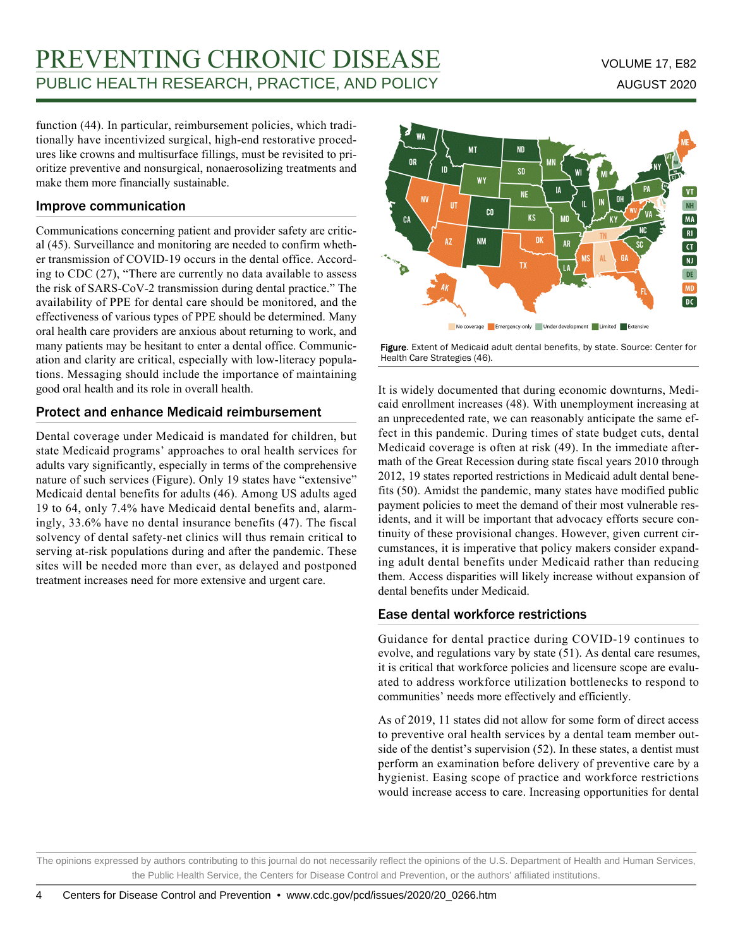# PREVENTING CHRONIC DISEASE VOLUME 17, E82 PUBLIC HEALTH RESEARCH, PRACTICE, AND POLICY AUGUST 2020

function (44). In particular, reimbursement policies, which traditionally have incentivized surgical, high-end restorative procedures like crowns and multisurface fillings, must be revisited to prioritize preventive and nonsurgical, nonaerosolizing treatments and make them more financially sustainable.

### Improve communication

Communications concerning patient and provider safety are critical (45). Surveillance and monitoring are needed to confirm whether transmission of COVID-19 occurs in the dental office. According to CDC (27), "There are currently no data available to assess the risk of SARS-CoV-2 transmission during dental practice." The availability of PPE for dental care should be monitored, and the effectiveness of various types of PPE should be determined. Many oral health care providers are anxious about returning to work, and many patients may be hesitant to enter a dental office. Communication and clarity are critical, especially with low-literacy populations. Messaging should include the importance of maintaining good oral health and its role in overall health.

### Protect and enhance Medicaid reimbursement

Dental coverage under Medicaid is mandated for children, but state Medicaid programs' approaches to oral health services for adults vary significantly, especially in terms of the comprehensive nature of such services (Figure). Only 19 states have "extensive" Medicaid dental benefits for adults (46). Among US adults aged 19 to 64, only 7.4% have Medicaid dental benefits and, alarmingly, 33.6% have no dental insurance benefits (47). The fiscal solvency of dental safety-net clinics will thus remain critical to serving at-risk populations during and after the pandemic. These sites will be needed more than ever, as delayed and postponed treatment increases need for more extensive and urgent care.



Figure. Extent of Medicaid adult dental benefits, by state. Source: Center for Health Care Strategies (46).

It is widely documented that during economic downturns, Medicaid enrollment increases (48). With unemployment increasing at an unprecedented rate, we can reasonably anticipate the same effect in this pandemic. During times of state budget cuts, dental Medicaid coverage is often at risk (49). In the immediate aftermath of the Great Recession during state fiscal years 2010 through 2012, 19 states reported restrictions in Medicaid adult dental benefits (50). Amidst the pandemic, many states have modified public payment policies to meet the demand of their most vulnerable residents, and it will be important that advocacy efforts secure continuity of these provisional changes. However, given current circumstances, it is imperative that policy makers consider expanding adult dental benefits under Medicaid rather than reducing them. Access disparities will likely increase without expansion of dental benefits under Medicaid.

### Ease dental workforce restrictions

Guidance for dental practice during COVID-19 continues to evolve, and regulations vary by state (51). As dental care resumes, it is critical that workforce policies and licensure scope are evaluated to address workforce utilization bottlenecks to respond to communities' needs more effectively and efficiently.

As of 2019, 11 states did not allow for some form of direct access to preventive oral health services by a dental team member outside of the dentist's supervision (52). In these states, a dentist must perform an examination before delivery of preventive care by a hygienist. Easing scope of practice and workforce restrictions would increase access to care. Increasing opportunities for dental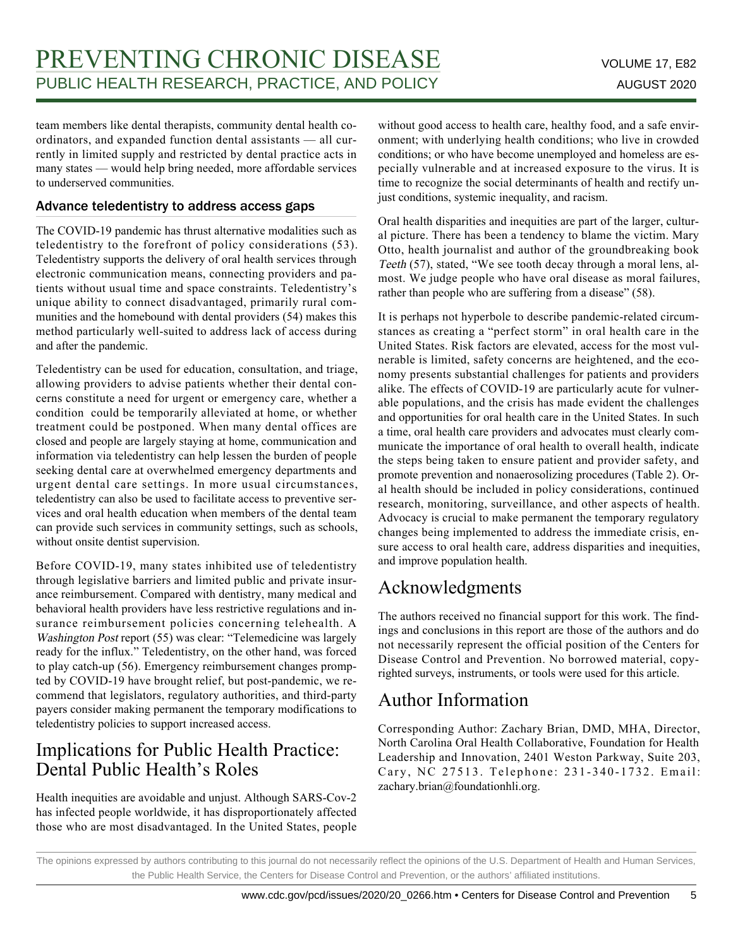team members like dental therapists, community dental health coordinators, and expanded function dental assistants — all currently in limited supply and restricted by dental practice acts in many states — would help bring needed, more affordable services to underserved communities.

### Advance teledentistry to address access gaps

The COVID-19 pandemic has thrust alternative modalities such as teledentistry to the forefront of policy considerations (53). Teledentistry supports the delivery of oral health services through electronic communication means, connecting providers and patients without usual time and space constraints. Teledentistry's unique ability to connect disadvantaged, primarily rural communities and the homebound with dental providers (54) makes this method particularly well-suited to address lack of access during and after the pandemic.

Teledentistry can be used for education, consultation, and triage, allowing providers to advise patients whether their dental concerns constitute a need for urgent or emergency care, whether a condition could be temporarily alleviated at home, or whether treatment could be postponed. When many dental offices are closed and people are largely staying at home, communication and information via teledentistry can help lessen the burden of people seeking dental care at overwhelmed emergency departments and urgent dental care settings. In more usual circumstances, teledentistry can also be used to facilitate access to preventive services and oral health education when members of the dental team can provide such services in community settings, such as schools, without onsite dentist supervision.

Before COVID-19, many states inhibited use of teledentistry through legislative barriers and limited public and private insurance reimbursement. Compared with dentistry, many medical and behavioral health providers have less restrictive regulations and insurance reimbursement policies concerning telehealth. A Washington Post report (55) was clear: "Telemedicine was largely ready for the influx." Teledentistry, on the other hand, was forced to play catch-up (56). Emergency reimbursement changes prompted by COVID-19 have brought relief, but post-pandemic, we recommend that legislators, regulatory authorities, and third-party payers consider making permanent the temporary modifications to teledentistry policies to support increased access.

### Implications for Public Health Practice: Dental Public Health's Roles

Health inequities are avoidable and unjust. Although SARS-Cov-2 has infected people worldwide, it has disproportionately affected those who are most disadvantaged. In the United States, people without good access to health care, healthy food, and a safe environment; with underlying health conditions; who live in crowded conditions; or who have become unemployed and homeless are especially vulnerable and at increased exposure to the virus. It is time to recognize the social determinants of health and rectify unjust conditions, systemic inequality, and racism.

Oral health disparities and inequities are part of the larger, cultural picture. There has been a tendency to blame the victim. Mary Otto, health journalist and author of the groundbreaking book Teeth (57), stated, "We see tooth decay through a moral lens, almost. We judge people who have oral disease as moral failures, rather than people who are suffering from a disease" (58).

It is perhaps not hyperbole to describe pandemic-related circumstances as creating a "perfect storm" in oral health care in the United States. Risk factors are elevated, access for the most vulnerable is limited, safety concerns are heightened, and the economy presents substantial challenges for patients and providers alike. The effects of COVID-19 are particularly acute for vulnerable populations, and the crisis has made evident the challenges and opportunities for oral health care in the United States. In such a time, oral health care providers and advocates must clearly communicate the importance of oral health to overall health, indicate the steps being taken to ensure patient and provider safety, and promote prevention and nonaerosolizing procedures (Table 2). Oral health should be included in policy considerations, continued research, monitoring, surveillance, and other aspects of health. Advocacy is crucial to make permanent the temporary regulatory changes being implemented to address the immediate crisis, ensure access to oral health care, address disparities and inequities, and improve population health.

# Acknowledgments

The authors received no financial support for this work. The findings and conclusions in this report are those of the authors and do not necessarily represent the official position of the Centers for Disease Control and Prevention. No borrowed material, copyrighted surveys, instruments, or tools were used for this article.

# Author Information

Corresponding Author: Zachary Brian, DMD, MHA, Director, North Carolina Oral Health Collaborative, Foundation for Health Leadership and Innovation, 2401 Weston Parkway, Suite 203, Cary, NC 27513. Telephone: 231-340-1732. Email: zachary.brian@foundationhli.org.

The opinions expressed by authors contributing to this journal do not necessarily reflect the opinions of the U.S. Department of Health and Human Services, the Public Health Service, the Centers for Disease Control and Prevention, or the authors' affiliated institutions.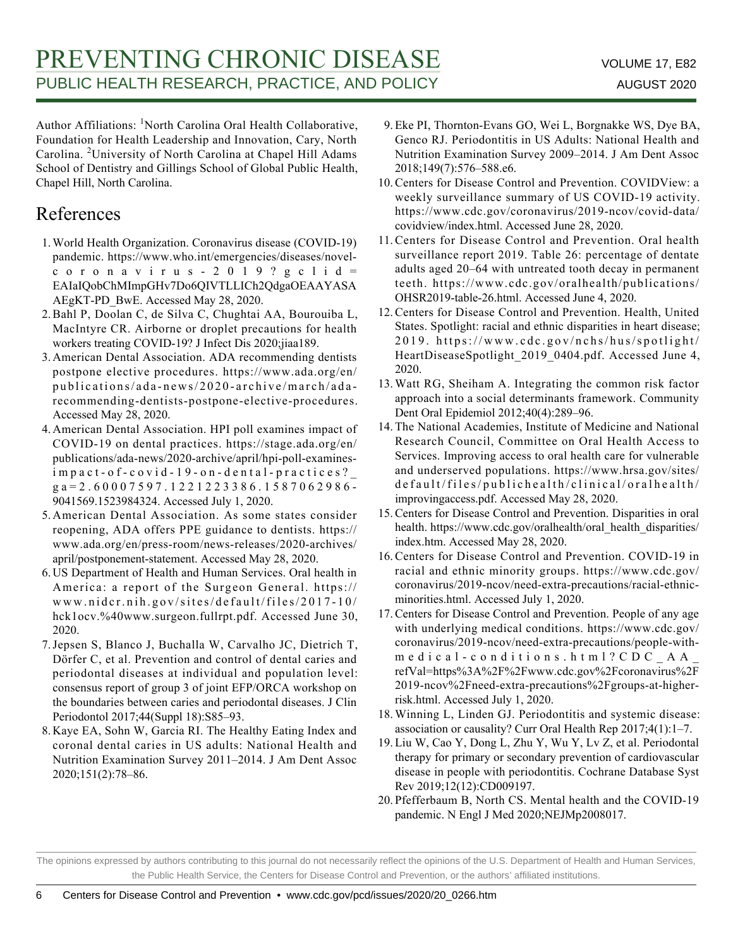Author Affiliations: <sup>1</sup>North Carolina Oral Health Collaborative, Foundation for Health Leadership and Innovation, Cary, North Carolina. <sup>2</sup>University of North Carolina at Chapel Hill Adams School of Dentistry and Gillings School of Global Public Health, Chapel Hill, North Carolina.

# References

- 1. World Health Organization. Coronavirus disease (COVID-19) pandemic. https://www.who.int/emergencies/diseases/novelcoronavirus-2019?gclid= EAIaIQobChMImpGHv7Do6QIVTLLICh2QdgaOEAAYASA AEgKT-PD\_BwE. Accessed May 28, 2020.
- 2. Bahl P, Doolan C, de Silva C, Chughtai AA, Bourouiba L, MacIntyre CR. Airborne or droplet precautions for health workers treating COVID-19? J Infect Dis 2020;jiaa189.
- American Dental Association. ADA recommending dentists 3. postpone elective procedures. https://www.ada.org/en/ publications/ada-news/2020-archive/march/adarecommending-dentists-postpone-elective-procedures. Accessed May 28, 2020.
- American Dental Association. HPI poll examines impact of 4. COVID-19 on dental practices. https://stage.ada.org/en/ publications/ada-news/2020-archive/april/hpi-poll-examinesimpact-of-covid-19-on-dental-practices?\_ ga=2.60007597.1221223386.1587062986- 9041569.1523984324. Accessed July 1, 2020.
- 5. American Dental Association. As some states consider reopening, ADA offers PPE guidance to dentists. https:// www.ada.org/en/press-room/news-releases/2020-archives/ april/postponement-statement. Accessed May 28, 2020.
- US Department of Health and Human Services. Oral health in 6. America: a report of the Surgeon General. https:// www.nidcr.nih.gov/sites/default/files/2017-10/ hck1ocv.%40www.surgeon.fullrpt.pdf. Accessed June 30, 2020.
- 7. Jepsen S, Blanco J, Buchalla W, Carvalho JC, Dietrich T, Dörfer C, et al. Prevention and control of dental caries and periodontal diseases at individual and population level: consensus report of group 3 of joint EFP/ORCA workshop on the boundaries between caries and periodontal diseases. J Clin Periodontol 2017;44(Suppl 18):S85–93.
- 8. Kaye EA, Sohn W, Garcia RI. The Healthy Eating Index and coronal dental caries in US adults: National Health and Nutrition Examination Survey 2011–2014. J Am Dent Assoc 2020;151(2):78–86.
- 9. Eke PI, Thornton-Evans GO, Wei L, Borgnakke WS, Dye BA, Genco RJ. Periodontitis in US Adults: National Health and Nutrition Examination Survey 2009–2014. J Am Dent Assoc 2018;149(7):576–588.e6.
- 10. Centers for Disease Control and Prevention. COVIDView: a weekly surveillance summary of US COVID-19 activity. https://www.cdc.gov/coronavirus/2019-ncov/covid-data/ covidview/index.html. Accessed June 28, 2020.
- 11. Centers for Disease Control and Prevention. Oral health surveillance report 2019. Table 26: percentage of dentate adults aged 20–64 with untreated tooth decay in permanent teeth. https://www.cdc.gov/oralhealth/publications/ OHSR2019-table-26.html. Accessed June 4, 2020.
- 12. Centers for Disease Control and Prevention. Health, United States. Spotlight: racial and ethnic disparities in heart disease; 2019. https://www.cdc.gov/nchs/hus/spotlight/ HeartDiseaseSpotlight\_2019\_0404.pdf. Accessed June 4, 2020.
- 13. Watt RG, Sheiham A. Integrating the common risk factor approach into a social determinants framework. Community Dent Oral Epidemiol 2012;40(4):289–96.
- 14. The National Academies, Institute of Medicine and National Research Council, Committee on Oral Health Access to Services. Improving access to oral health care for vulnerable and underserved populations. https://www.hrsa.gov/sites/ default/files/publichealth/clinical/oralhealth/ improvingaccess.pdf. Accessed May 28, 2020.
- 15. Centers for Disease Control and Prevention. Disparities in oral health. https://www.cdc.gov/oralhealth/oral\_health\_disparities/ index.htm. Accessed May 28, 2020.
- 16. Centers for Disease Control and Prevention. COVID-19 in racial and ethnic minority groups. https://www.cdc.gov/ coronavirus/2019-ncov/need-extra-precautions/racial-ethnicminorities.html. Accessed July 1, 2020.
- 17. Centers for Disease Control and Prevention. People of any age with underlying medical conditions. https://www.cdc.gov/ coronavirus/2019-ncov/need-extra-precautions/people-withmedical-conditions.html?CDC\_AA\_ refVal=https%3A%2F%2Fwww.cdc.gov%2Fcoronavirus%2F 2019-ncov%2Fneed-extra-precautions%2Fgroups-at-higherrisk.html. Accessed July 1, 2020.
- 18. Winning L, Linden GJ. Periodontitis and systemic disease: association or causality? Curr Oral Health Rep 2017;4(1):1–7.
- Liu W, Cao Y, Dong L, Zhu Y, Wu Y, Lv Z, et al. Periodontal 19. therapy for primary or secondary prevention of cardiovascular disease in people with periodontitis. Cochrane Database Syst Rev 2019;12(12):CD009197.
- 20. Pfefferbaum B, North CS. Mental health and the COVID-19 pandemic. N Engl J Med 2020;NEJMp2008017.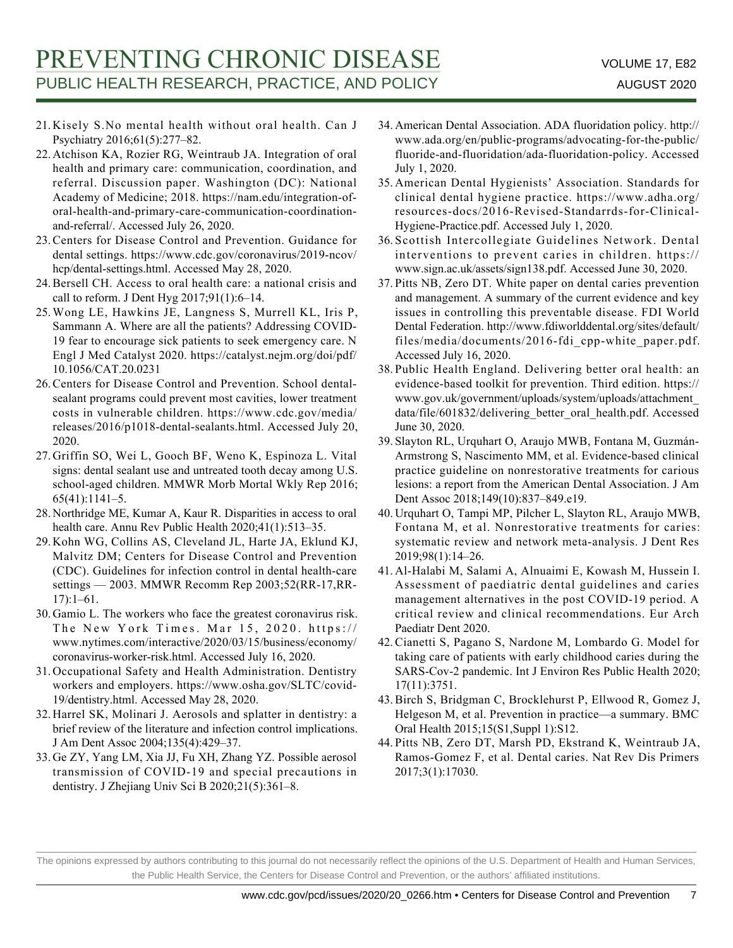- 21. Kisely S.No mental health without oral health. Can J Psychiatry 2016;61(5):277–82.
- 22. Atchison KA, Rozier RG, Weintraub JA. Integration of oral health and primary care: communication, coordination, and referral. Discussion paper. Washington (DC): National Academy of Medicine; 2018. https://nam.edu/integration-oforal-health-and-primary-care-communication-coordinationand-referral/. Accessed July 26, 2020.
- 23. Centers for Disease Control and Prevention. Guidance for dental settings. https://www.cdc.gov/coronavirus/2019-ncov/ hcp/dental-settings.html. Accessed May 28, 2020.
- 24. Bersell CH. Access to oral health care: a national crisis and call to reform. J Dent Hyg 2017;91(1):6–14.
- Wong LE, Hawkins JE, Langness S, Murrell KL, Iris P, 25. Sammann A. Where are all the patients? Addressing COVID-19 fear to encourage sick patients to seek emergency care. N Engl J Med Catalyst 2020. https://catalyst.nejm.org/doi/pdf/ 10.1056/CAT.20.0231
- 26. Centers for Disease Control and Prevention. School dentalsealant programs could prevent most cavities, lower treatment costs in vulnerable children. https://www.cdc.gov/media/ releases/2016/p1018-dental-sealants.html. Accessed July 20, 2020.
- 27. Griffin SO, Wei L, Gooch BF, Weno K, Espinoza L. Vital signs: dental sealant use and untreated tooth decay among U.S. school-aged children. MMWR Morb Mortal Wkly Rep 2016; 65(41):1141–5.
- 28. Northridge ME, Kumar A, Kaur R. Disparities in access to oral health care. Annu Rev Public Health 2020;41(1):513–35.
- 29. Kohn WG, Collins AS, Cleveland JL, Harte JA, Eklund KJ, Malvitz DM; Centers for Disease Control and Prevention (CDC). Guidelines for infection control in dental health-care settings — 2003. MMWR Recomm Rep 2003;52(RR-17,RR-17):1–61.
- 30. Gamio L. The workers who face the greatest coronavirus risk. The New York Times. Mar 15, 2020. https:// www.nytimes.com/interactive/2020/03/15/business/economy/ coronavirus-worker-risk.html. Accessed July 16, 2020.
- 31. Occupational Safety and Health Administration. Dentistry workers and employers. https://www.osha.gov/SLTC/covid-19/dentistry.html. Accessed May 28, 2020.
- 32. Harrel SK, Molinari J. Aerosols and splatter in dentistry: a brief review of the literature and infection control implications. J Am Dent Assoc 2004;135(4):429–37.
- Ge ZY, Yang LM, Xia JJ, Fu XH, Zhang YZ. Possible aerosol 33. transmission of COVID-19 and special precautions in dentistry. J Zhejiang Univ Sci B 2020;21(5):361–8.
- American Dental Association. ADA fluoridation policy. http:// 34. www.ada.org/en/public-programs/advocating-for-the-public/ fluoride-and-fluoridation/ada-fluoridation-policy. Accessed July 1, 2020.
- 35. American Dental Hygienists' Association. Standards for clinical dental hygiene practice. https://www.adha.org/ resources-docs/2016-Revised-Standarrds-for-Clinical-Hygiene-Practice.pdf. Accessed July 1, 2020.
- Scottish Intercollegiate Guidelines Network. Dental 36. interventions to prevent caries in children. https:// www.sign.ac.uk/assets/sign138.pdf. Accessed June 30, 2020.
- 37. Pitts NB, Zero DT. White paper on dental caries prevention and management. A summary of the current evidence and key issues in controlling this preventable disease. FDI World Dental Federation. http://www.fdiworlddental.org/sites/default/ files/media/documents/2016-fdi\_cpp-white\_paper.pdf. Accessed July 16, 2020.
- 38. Public Health England. Delivering better oral health: an evidence-based toolkit for prevention. Third edition. https:// www.gov.uk/government/uploads/system/uploads/attachment\_ data/file/601832/delivering\_better\_oral\_health.pdf. Accessed June 30, 2020.
- Slayton RL, Urquhart O, Araujo MWB, Fontana M, Guzmán-39. Armstrong S, Nascimento MM, et al. Evidence-based clinical practice guideline on nonrestorative treatments for carious lesions: a report from the American Dental Association. J Am Dent Assoc 2018;149(10):837–849.e19.
- 40. Urquhart O, Tampi MP, Pilcher L, Slayton RL, Araujo MWB, Fontana M, et al. Nonrestorative treatments for caries: systematic review and network meta-analysis. J Dent Res 2019;98(1):14–26.
- Al-Halabi M, Salami A, Alnuaimi E, Kowash M, Hussein I. 41. Assessment of paediatric dental guidelines and caries management alternatives in the post COVID-19 period. A critical review and clinical recommendations. Eur Arch Paediatr Dent 2020.
- 42. Cianetti S, Pagano S, Nardone M, Lombardo G. Model for taking care of patients with early childhood caries during the SARS-Cov-2 pandemic. Int J Environ Res Public Health 2020; 17(11):3751.
- 43. Birch S, Bridgman C, Brocklehurst P, Ellwood R, Gomez J, Helgeson M, et al. Prevention in practice—a summary. BMC Oral Health 2015;15(S1,Suppl 1):S12.
- Pitts NB, Zero DT, Marsh PD, Ekstrand K, Weintraub JA, 44. Ramos-Gomez F, et al. Dental caries. Nat Rev Dis Primers 2017;3(1):17030.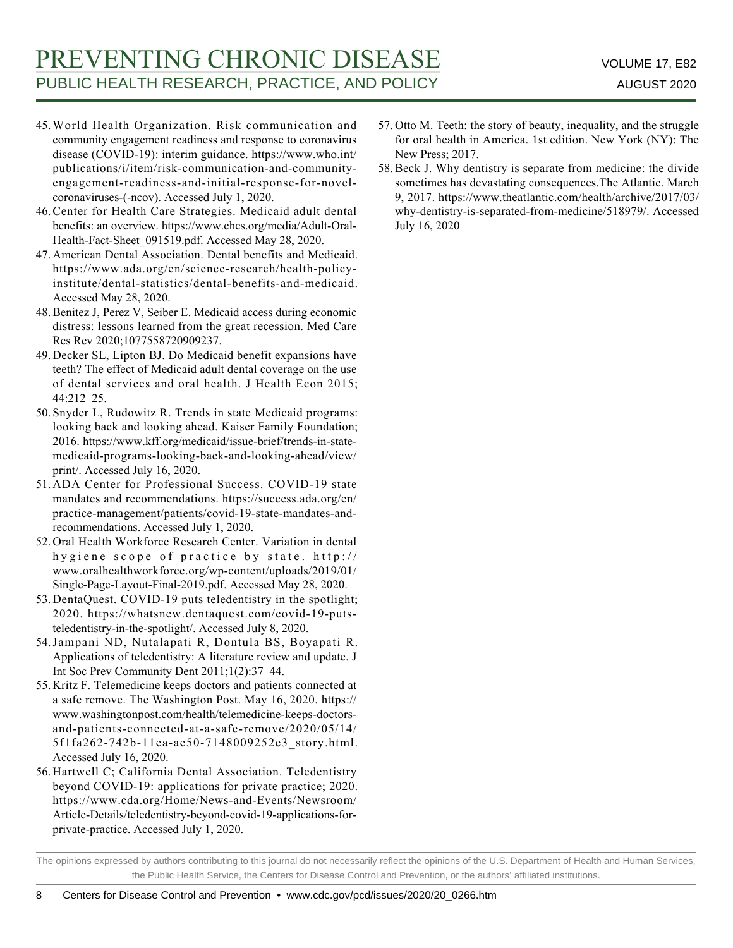- World Health Organization. Risk communication and 45. community engagement readiness and response to coronavirus disease (COVID-19): interim guidance. https://www.who.int/ publications/i/item/risk-communication-and-communityengagement-readiness-and-initial-response-for-novelcoronaviruses-(-ncov). Accessed July 1, 2020.
- 46. Center for Health Care Strategies. Medicaid adult dental benefits: an overview. https://www.chcs.org/media/Adult-Oral-Health-Fact-Sheet\_091519.pdf. Accessed May 28, 2020.
- American Dental Association. Dental benefits and Medicaid. 47. https://www.ada.org/en/science-research/health-policyinstitute/dental-statistics/dental-benefits-and-medicaid. Accessed May 28, 2020.
- 48. Benitez J, Perez V, Seiber E. Medicaid access during economic distress: lessons learned from the great recession. Med Care Res Rev 2020;1077558720909237.
- 49. Decker SL, Lipton BJ. Do Medicaid benefit expansions have teeth? The effect of Medicaid adult dental coverage on the use of dental services and oral health. J Health Econ 2015; 44:212–25.
- 50. Snyder L, Rudowitz R. Trends in state Medicaid programs: looking back and looking ahead. Kaiser Family Foundation; 2016. https://www.kff.org/medicaid/issue-brief/trends-in-statemedicaid-programs-looking-back-and-looking-ahead/view/ print/. Accessed July 16, 2020.
- 51. ADA Center for Professional Success. COVID-19 state mandates and recommendations. https://success.ada.org/en/ practice-management/patients/covid-19-state-mandates-andrecommendations. Accessed July 1, 2020.
- 52. Oral Health Workforce Research Center. Variation in dental hygiene scope of practice by state. http:// www.oralhealthworkforce.org/wp-content/uploads/2019/01/ Single-Page-Layout-Final-2019.pdf. Accessed May 28, 2020.
- 53. DentaQuest. COVID-19 puts teledentistry in the spotlight; 2020. https://whatsnew.dentaquest.com/covid-19-putsteledentistry-in-the-spotlight/. Accessed July 8, 2020.
- Jampani ND, Nutalapati R, Dontula BS, Boyapati R. 54. Applications of teledentistry: A literature review and update. J Int Soc Prev Community Dent 2011;1(2):37–44.
- 55. Kritz F. Telemedicine keeps doctors and patients connected at a safe remove. The Washington Post. May 16, 2020. https:// www.washingtonpost.com/health/telemedicine-keeps-doctorsand-patients-connected-at-a-safe-remove/2020/05/14/ 5f1fa262-742b-11ea-ae50-7148009252e3\_story.html. Accessed July 16, 2020.
- 56. Hartwell C; California Dental Association. Teledentistry beyond COVID-19: applications for private practice; 2020. https://www.cda.org/Home/News-and-Events/Newsroom/ Article-Details/teledentistry-beyond-covid-19-applications-forprivate-practice. Accessed July 1, 2020.
- 57. Otto M. Teeth: the story of beauty, inequality, and the struggle for oral health in America. 1st edition. New York (NY): The New Press; 2017.
- 58. Beck J. Why dentistry is separate from medicine: the divide sometimes has devastating consequences.The Atlantic. March 9, 2017. https://www.theatlantic.com/health/archive/2017/03/ why-dentistry-is-separated-from-medicine/518979/. Accessed July 16, 2020

The opinions expressed by authors contributing to this journal do not necessarily reflect the opinions of the U.S. Department of Health and Human Services, the Public Health Service, the Centers for Disease Control and Prevention, or the authors' affiliated institutions.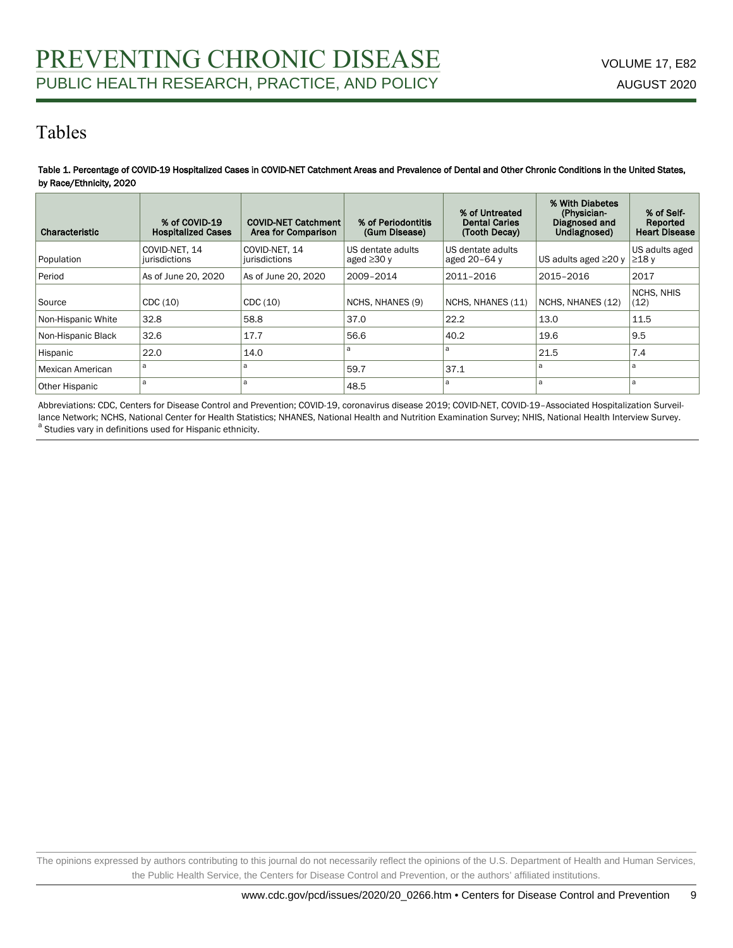## Tables

#### Table 1. Percentage of COVID-19 Hospitalized Cases in COVID-NET Catchment Areas and Prevalence of Dental and Other Chronic Conditions in the United States, by Race/Ethnicity, 2020

| Characteristic     | % of COVID-19<br><b>Hospitalized Cases</b> | <b>COVID-NET Catchment</b><br>Area for Comparison | % of Periodontitis<br>(Gum Disease)   | % of Untreated<br><b>Dental Caries</b><br>(Tooth Decay) | % With Diabetes<br>(Physician-<br>Diagnosed and<br>Undiagnosed) | % of Self-<br>Reported<br><b>Heart Disease</b> |
|--------------------|--------------------------------------------|---------------------------------------------------|---------------------------------------|---------------------------------------------------------|-----------------------------------------------------------------|------------------------------------------------|
| Population         | COVID-NET. 14<br>iurisdictions             | COVID-NET. 14<br>jurisdictions                    | US dentate adults<br>aged $\geq$ 30 y | US dentate adults<br>aged 20-64 y                       | US adults aged $\geq$ 20 y                                      | US adults aged<br>$\geq$ 18 y                  |
| Period             | As of June 20, 2020                        | As of June 20, 2020                               | 2009-2014                             | 2011-2016                                               | 2015-2016                                                       | 2017                                           |
| Source             | CDC(10)                                    | CDC(10)                                           | NCHS, NHANES (9)                      | NCHS, NHANES (11)                                       | NCHS, NHANES (12)                                               | NCHS, NHIS<br>(12)                             |
| Non-Hispanic White | 32.8                                       | 58.8                                              | 37.0                                  | 22.2                                                    | 13.0                                                            | 11.5                                           |
| Non-Hispanic Black | 32.6                                       | 17.7                                              | 56.6                                  | 40.2                                                    | 19.6                                                            | 9.5                                            |
| Hispanic           | 22.0                                       | 14.0                                              | a                                     | a                                                       | 21.5                                                            | 7.4                                            |
| Mexican American   | a                                          | a                                                 | 59.7                                  | 37.1                                                    | a                                                               | a                                              |
| Other Hispanic     | a                                          | a                                                 | 48.5                                  | a                                                       | a                                                               | a                                              |

Abbreviations: CDC, Centers for Disease Control and Prevention; COVID-19, coronavirus disease 2019; COVID-NET, COVID-19–Associated Hospitalization Surveillance Network; NCHS, National Center for Health Statistics; NHANES, National Health and Nutrition Examination Survey; NHIS, National Health Interview Survey. <sup>a</sup> Studies vary in definitions used for Hispanic ethnicity.